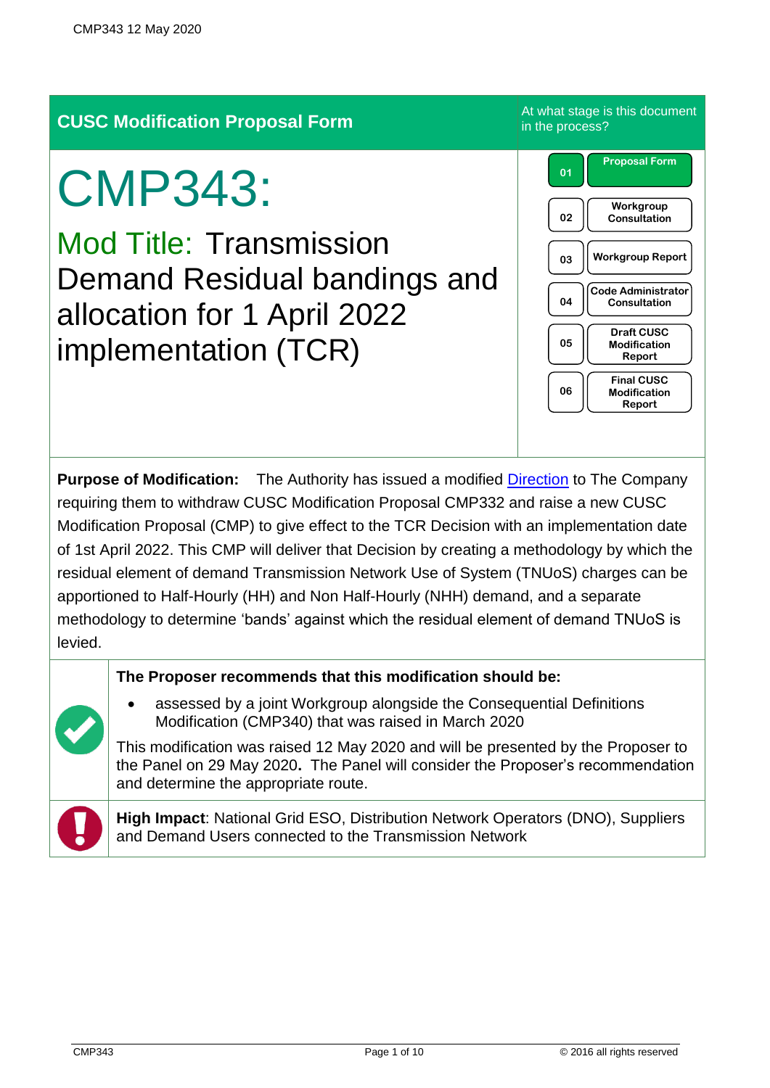## **CUSC Modification Proposal Form** At what stage is this document

# CMP343:

Mod Title: Transmission Demand Residual bandings and allocation for 1 April 2022 implementation (TCR)

**Purpose of Modification:** The Authority has issued a modified [Direction](https://www.ofgem.gov.uk/publications-and-updates/consent-withdraw-cmp332-and-direction-raise-new-cusc-modification-proposal-new-transmission-demand-residual-charges-targeted-charging-review-tcr-1) to The Company requiring them to withdraw CUSC Modification Proposal CMP332 and raise a new CUSC Modification Proposal (CMP) to give effect to the TCR Decision with an implementation date of 1st April 2022. This CMP will deliver that Decision by creating a methodology by which the residual element of demand Transmission Network Use of System (TNUoS) charges can be apportioned to Half-Hourly (HH) and Non Half-Hourly (NHH) demand, and a separate methodology to determine 'bands' against which the residual element of demand TNUoS is levied.

#### **The Proposer recommends that this modification should be:**

• assessed by a joint Workgroup alongside the Consequential Definitions Modification (CMP340) that was raised in March 2020

This modification was raised 12 May 2020 and will be presented by the Proposer to the Panel on 29 May 2020**.** The Panel will consider the Proposer's recommendation and determine the appropriate route.

**High Impact**: National Grid ESO, Distribution Network Operators (DNO), Suppliers and Demand Users connected to the Transmission Network

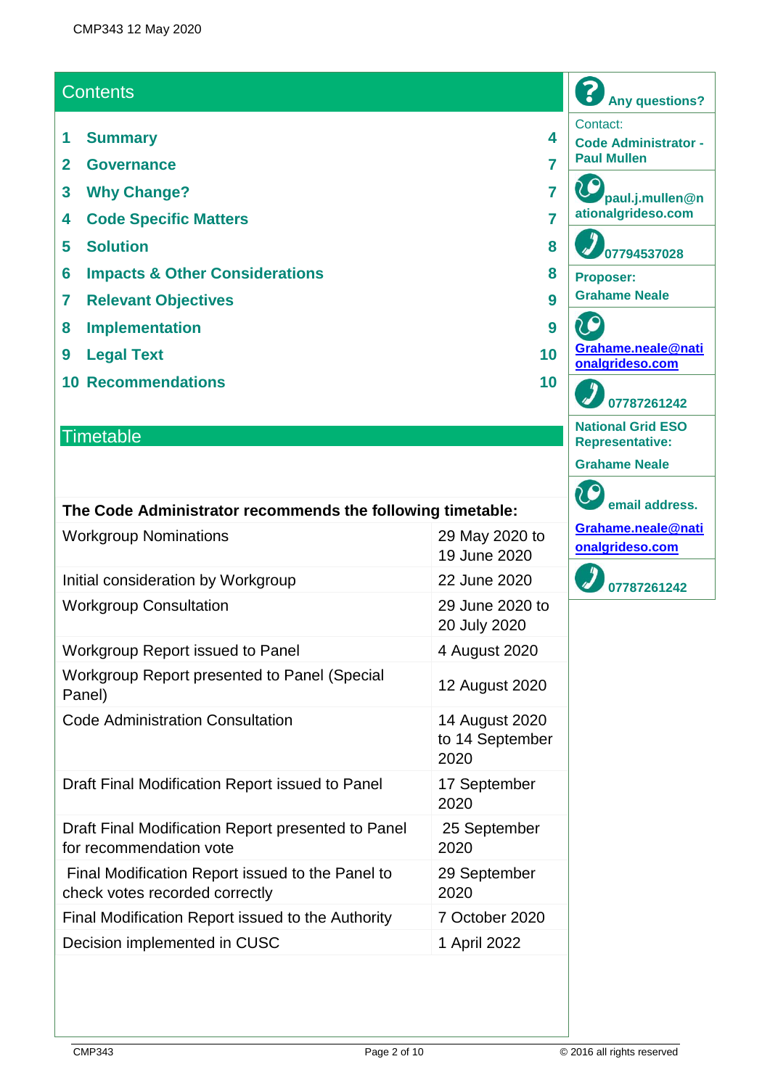## **Contents**

- **1 Summary 4**
- **2 Governance 7**
- **3 Why Change? 7**
- **4 Code Specific Matters 7**
- **5 Solution 8**
- **6 Impacts & Other Considerations 8**
- **7 Relevant Objectives 9**
- **8 Implementation 9**
- **9 Legal Text 10**
- **10 Recommendations 10**

## **Timetable**

| The Code Administrator recommends the following timetable:                         |                                           |
|------------------------------------------------------------------------------------|-------------------------------------------|
| <b>Workgroup Nominations</b>                                                       | 29 May 2020 to<br>19 June 2020            |
| Initial consideration by Workgroup                                                 | 22 June 2020                              |
| <b>Workgroup Consultation</b>                                                      | 29 June 2020 to<br>20 July 2020           |
| Workgroup Report issued to Panel                                                   | 4 August 2020                             |
| Workgroup Report presented to Panel (Special<br>Panel)                             | 12 August 2020                            |
| <b>Code Administration Consultation</b>                                            | 14 August 2020<br>to 14 September<br>2020 |
| Draft Final Modification Report issued to Panel                                    | 17 September<br>2020                      |
| Draft Final Modification Report presented to Panel<br>for recommendation vote      | 25 September<br>2020                      |
| Final Modification Report issued to the Panel to<br>check votes recorded correctly | 29 September<br>2020                      |
| Final Modification Report issued to the Authority                                  | 7 October 2020                            |
| Decision implemented in CUSC                                                       | 1 April 2022                              |
|                                                                                    |                                           |

| paul.j.mullen@n<br>ationalgrideso.com              |
|----------------------------------------------------|
| 07794537028                                        |
| <b>Proposer:</b><br><b>Grahame Neale</b>           |
| Grahame.neale@nati<br>onalgrideso.com              |
| 07787261242                                        |
| <b>National Grid ESO</b><br><b>Representative:</b> |
| <b>Grahame Neale</b>                               |
| email address.                                     |
| Grahame.neale@nati<br>onalgrideso.com              |
| 07787261242                                        |
|                                                    |

**Any questions?**

**Code Administrator -**

Contact:

**Paul Mullen**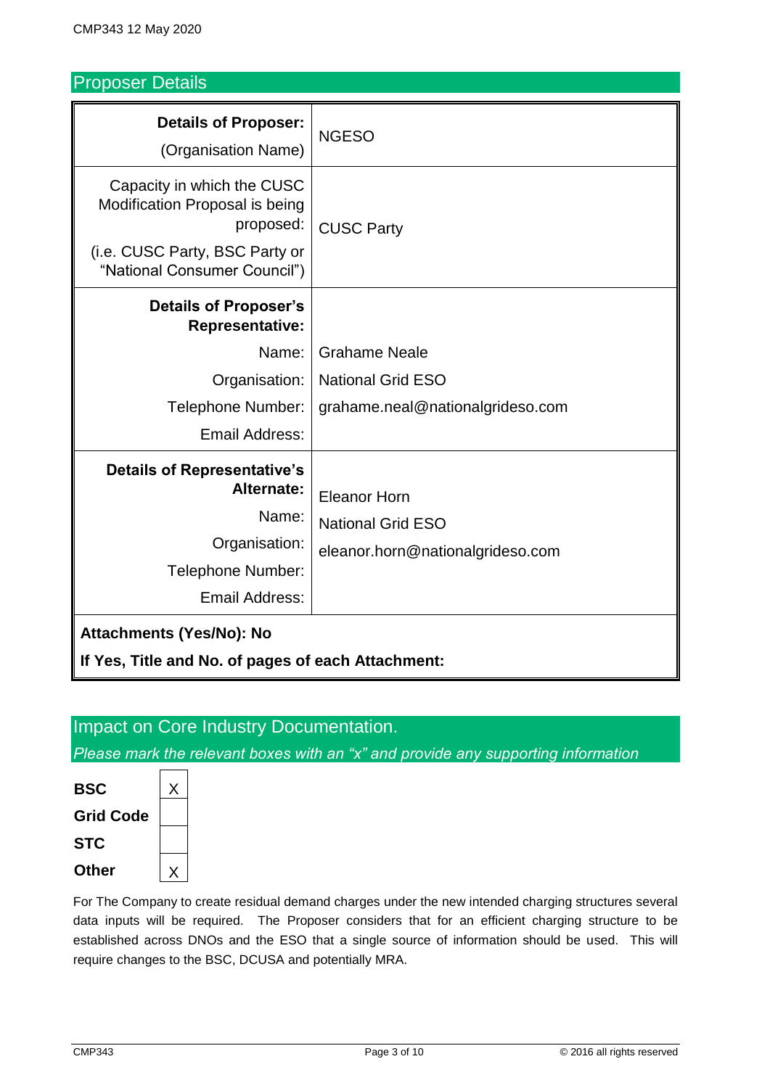## Proposer Details

| <b>Details of Proposer:</b><br>(Organisation Name)                                                                                          | <b>NGESO</b>                                                                        |  |
|---------------------------------------------------------------------------------------------------------------------------------------------|-------------------------------------------------------------------------------------|--|
| Capacity in which the CUSC<br>Modification Proposal is being<br>proposed:<br>(i.e. CUSC Party, BSC Party or<br>"National Consumer Council") | <b>CUSC Party</b>                                                                   |  |
| <b>Details of Proposer's</b><br><b>Representative:</b>                                                                                      |                                                                                     |  |
| Name:                                                                                                                                       | <b>Grahame Neale</b>                                                                |  |
| Organisation:                                                                                                                               | <b>National Grid ESO</b>                                                            |  |
| Telephone Number:                                                                                                                           | grahame.neal@nationalgrideso.com                                                    |  |
| Email Address:                                                                                                                              |                                                                                     |  |
| <b>Details of Representative's</b><br>Alternate:<br>Name:<br>Organisation:<br>Telephone Number:                                             | <b>Eleanor Horn</b><br><b>National Grid ESO</b><br>eleanor.horn@nationalgrideso.com |  |
| <b>Email Address:</b>                                                                                                                       |                                                                                     |  |
| Attachments (Yes/No): No<br>If Yes, Title and No. of pages of each Attachment:                                                              |                                                                                     |  |

#### Impact on Core Industry Documentation.

*Please mark the relevant boxes with an "x" and provide any supporting information*



For The Company to create residual demand charges under the new intended charging structures several data inputs will be required. The Proposer considers that for an efficient charging structure to be established across DNOs and the ESO that a single source of information should be used. This will require changes to the BSC, DCUSA and potentially MRA.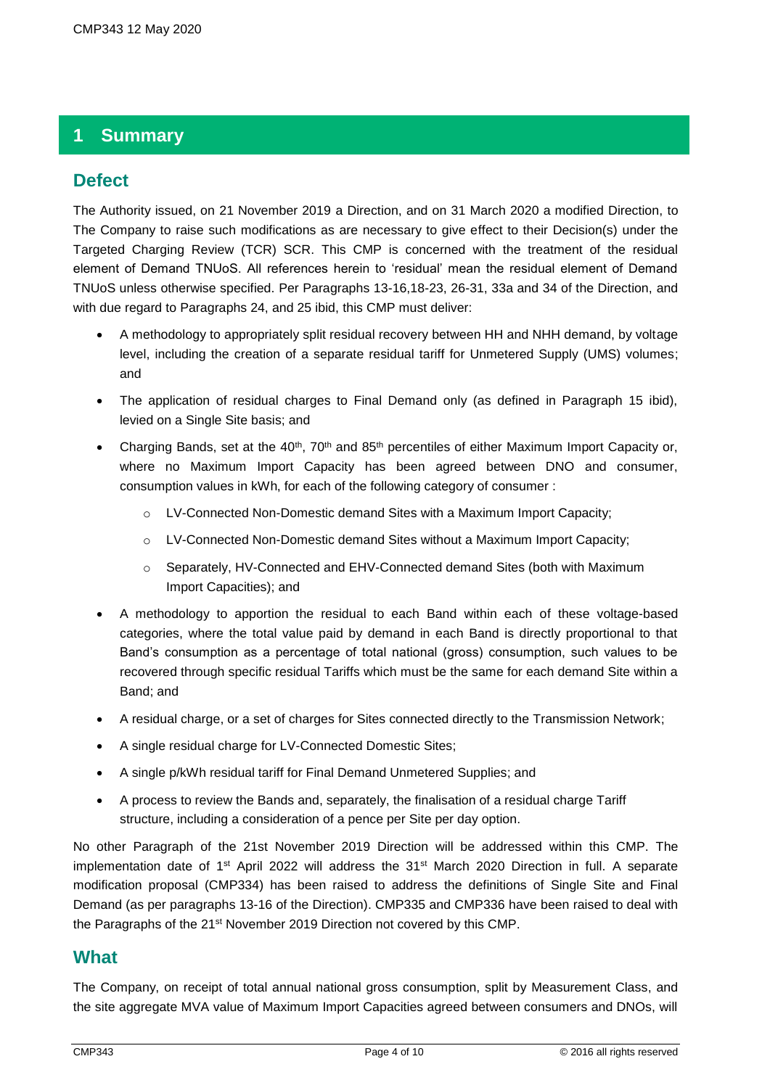## **1 Summary**

#### **Defect**

The Authority issued, on 21 November 2019 a Direction, and on 31 March 2020 a modified Direction, to The Company to raise such modifications as are necessary to give effect to their Decision(s) under the Targeted Charging Review (TCR) SCR. This CMP is concerned with the treatment of the residual element of Demand TNUoS. All references herein to 'residual' mean the residual element of Demand TNUoS unless otherwise specified. Per Paragraphs 13-16,18-23, 26-31, 33a and 34 of the Direction, and with due regard to Paragraphs 24, and 25 ibid, this CMP must deliver:

- A methodology to appropriately split residual recovery between HH and NHH demand, by voltage level, including the creation of a separate residual tariff for Unmetered Supply (UMS) volumes; and
- The application of residual charges to Final Demand only (as defined in Paragraph 15 ibid), levied on a Single Site basis; and
- Charging Bands, set at the  $40^{th}$ , 70<sup>th</sup> and 85<sup>th</sup> percentiles of either Maximum Import Capacity or, where no Maximum Import Capacity has been agreed between DNO and consumer, consumption values in kWh, for each of the following category of consumer :
	- o LV-Connected Non-Domestic demand Sites with a Maximum Import Capacity;
	- o LV-Connected Non-Domestic demand Sites without a Maximum Import Capacity;
	- o Separately, HV-Connected and EHV-Connected demand Sites (both with Maximum Import Capacities); and
- A methodology to apportion the residual to each Band within each of these voltage-based categories, where the total value paid by demand in each Band is directly proportional to that Band's consumption as a percentage of total national (gross) consumption, such values to be recovered through specific residual Tariffs which must be the same for each demand Site within a Band; and
- A residual charge, or a set of charges for Sites connected directly to the Transmission Network;
- A single residual charge for LV-Connected Domestic Sites;
- A single p/kWh residual tariff for Final Demand Unmetered Supplies; and
- A process to review the Bands and, separately, the finalisation of a residual charge Tariff structure, including a consideration of a pence per Site per day option.

No other Paragraph of the 21st November 2019 Direction will be addressed within this CMP. The implementation date of 1st April 2022 will address the 31st March 2020 Direction in full. A separate modification proposal (CMP334) has been raised to address the definitions of Single Site and Final Demand (as per paragraphs 13-16 of the Direction). CMP335 and CMP336 have been raised to deal with the Paragraphs of the 21<sup>st</sup> November 2019 Direction not covered by this CMP.

#### **What**

The Company, on receipt of total annual national gross consumption, split by Measurement Class, and the site aggregate MVA value of Maximum Import Capacities agreed between consumers and DNOs, will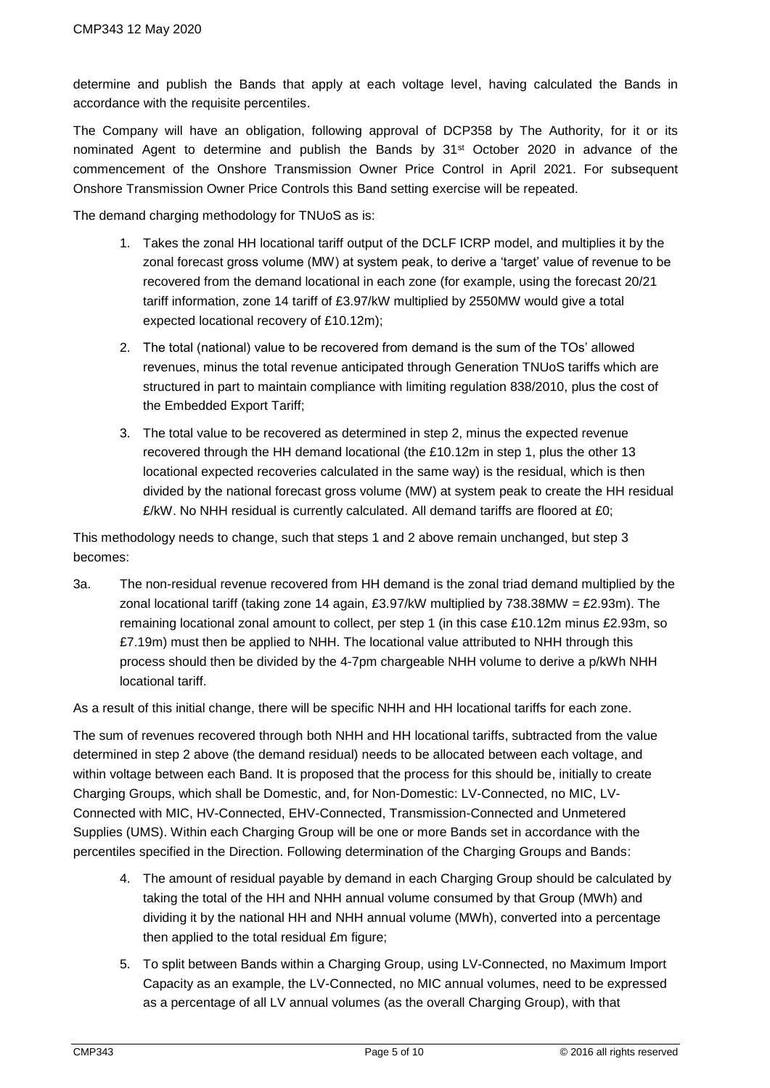determine and publish the Bands that apply at each voltage level, having calculated the Bands in accordance with the requisite percentiles.

The Company will have an obligation, following approval of DCP358 by The Authority, for it or its nominated Agent to determine and publish the Bands by 31<sup>st</sup> October 2020 in advance of the commencement of the Onshore Transmission Owner Price Control in April 2021. For subsequent Onshore Transmission Owner Price Controls this Band setting exercise will be repeated.

The demand charging methodology for TNUoS as is:

- 1. Takes the zonal HH locational tariff output of the DCLF ICRP model, and multiplies it by the zonal forecast gross volume (MW) at system peak, to derive a 'target' value of revenue to be recovered from the demand locational in each zone (for example, using the forecast 20/21 tariff information, zone 14 tariff of £3.97/kW multiplied by 2550MW would give a total expected locational recovery of £10.12m);
- 2. The total (national) value to be recovered from demand is the sum of the TOs' allowed revenues, minus the total revenue anticipated through Generation TNUoS tariffs which are structured in part to maintain compliance with limiting regulation 838/2010, plus the cost of the Embedded Export Tariff;
- 3. The total value to be recovered as determined in step 2, minus the expected revenue recovered through the HH demand locational (the £10.12m in step 1, plus the other 13 locational expected recoveries calculated in the same way) is the residual, which is then divided by the national forecast gross volume (MW) at system peak to create the HH residual  $E/KW$ . No NHH residual is currently calculated. All demand tariffs are floored at £0;

This methodology needs to change, such that steps 1 and 2 above remain unchanged, but step 3 becomes:

3a. The non-residual revenue recovered from HH demand is the zonal triad demand multiplied by the zonal locational tariff (taking zone 14 again, £3.97/kW multiplied by  $738.38$ MW = £2.93m). The remaining locational zonal amount to collect, per step 1 (in this case £10.12m minus £2.93m, so £7.19m) must then be applied to NHH. The locational value attributed to NHH through this process should then be divided by the 4-7pm chargeable NHH volume to derive a p/kWh NHH locational tariff.

As a result of this initial change, there will be specific NHH and HH locational tariffs for each zone.

The sum of revenues recovered through both NHH and HH locational tariffs, subtracted from the value determined in step 2 above (the demand residual) needs to be allocated between each voltage, and within voltage between each Band. It is proposed that the process for this should be, initially to create Charging Groups, which shall be Domestic, and, for Non-Domestic: LV-Connected, no MIC, LV-Connected with MIC, HV-Connected, EHV-Connected, Transmission-Connected and Unmetered Supplies (UMS). Within each Charging Group will be one or more Bands set in accordance with the percentiles specified in the Direction. Following determination of the Charging Groups and Bands:

- 4. The amount of residual payable by demand in each Charging Group should be calculated by taking the total of the HH and NHH annual volume consumed by that Group (MWh) and dividing it by the national HH and NHH annual volume (MWh), converted into a percentage then applied to the total residual £m figure;
- 5. To split between Bands within a Charging Group, using LV-Connected, no Maximum Import Capacity as an example, the LV-Connected, no MIC annual volumes, need to be expressed as a percentage of all LV annual volumes (as the overall Charging Group), with that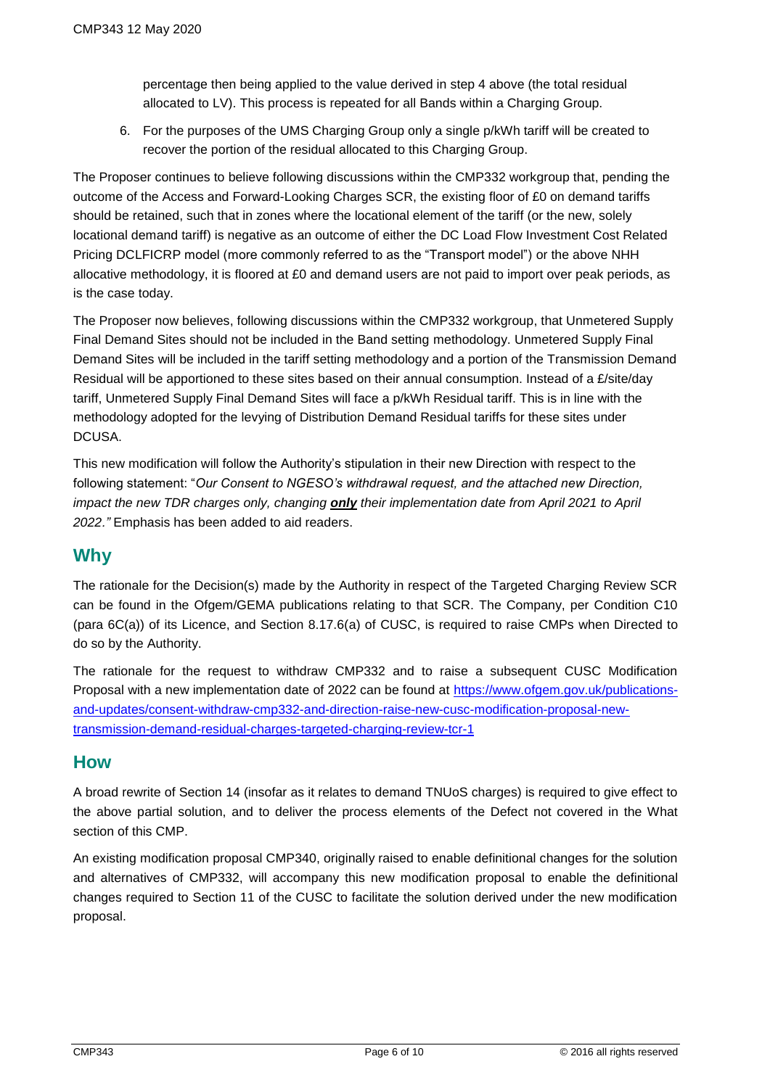percentage then being applied to the value derived in step 4 above (the total residual allocated to LV). This process is repeated for all Bands within a Charging Group.

6. For the purposes of the UMS Charging Group only a single p/kWh tariff will be created to recover the portion of the residual allocated to this Charging Group.

The Proposer continues to believe following discussions within the CMP332 workgroup that, pending the outcome of the Access and Forward-Looking Charges SCR, the existing floor of £0 on demand tariffs should be retained, such that in zones where the locational element of the tariff (or the new, solely locational demand tariff) is negative as an outcome of either the DC Load Flow Investment Cost Related Pricing DCLFICRP model (more commonly referred to as the "Transport model") or the above NHH allocative methodology, it is floored at £0 and demand users are not paid to import over peak periods, as is the case today.

The Proposer now believes, following discussions within the CMP332 workgroup, that Unmetered Supply Final Demand Sites should not be included in the Band setting methodology. Unmetered Supply Final Demand Sites will be included in the tariff setting methodology and a portion of the Transmission Demand Residual will be apportioned to these sites based on their annual consumption. Instead of a £/site/day tariff, Unmetered Supply Final Demand Sites will face a p/kWh Residual tariff. This is in line with the methodology adopted for the levying of Distribution Demand Residual tariffs for these sites under DCUSA.

This new modification will follow the Authority's stipulation in their new Direction with respect to the following statement: "*Our Consent to NGESO's withdrawal request, and the attached new Direction, impact the new TDR charges only, changing only their implementation date from April 2021 to April 2022."* Emphasis has been added to aid readers.

## **Why**

The rationale for the Decision(s) made by the Authority in respect of the Targeted Charging Review SCR can be found in the Ofgem/GEMA publications relating to that SCR. The Company, per Condition C10 (para 6C(a)) of its Licence, and Section 8.17.6(a) of CUSC, is required to raise CMPs when Directed to do so by the Authority.

The rationale for the request to withdraw CMP332 and to raise a subsequent CUSC Modification Proposal with a new implementation date of 2022 can be found at [https://www.ofgem.gov.uk/publications](https://www.ofgem.gov.uk/publications-and-updates/consent-withdraw-cmp332-and-direction-raise-new-cusc-modification-proposal-new-transmission-demand-residual-charges-targeted-charging-review-tcr-1)[and-updates/consent-withdraw-cmp332-and-direction-raise-new-cusc-modification-proposal-new](https://www.ofgem.gov.uk/publications-and-updates/consent-withdraw-cmp332-and-direction-raise-new-cusc-modification-proposal-new-transmission-demand-residual-charges-targeted-charging-review-tcr-1)[transmission-demand-residual-charges-targeted-charging-review-tcr-1](https://www.ofgem.gov.uk/publications-and-updates/consent-withdraw-cmp332-and-direction-raise-new-cusc-modification-proposal-new-transmission-demand-residual-charges-targeted-charging-review-tcr-1)

## **How**

A broad rewrite of Section 14 (insofar as it relates to demand TNUoS charges) is required to give effect to the above partial solution, and to deliver the process elements of the Defect not covered in the What section of this CMP.

An existing modification proposal CMP340, originally raised to enable definitional changes for the solution and alternatives of CMP332, will accompany this new modification proposal to enable the definitional changes required to Section 11 of the CUSC to facilitate the solution derived under the new modification proposal.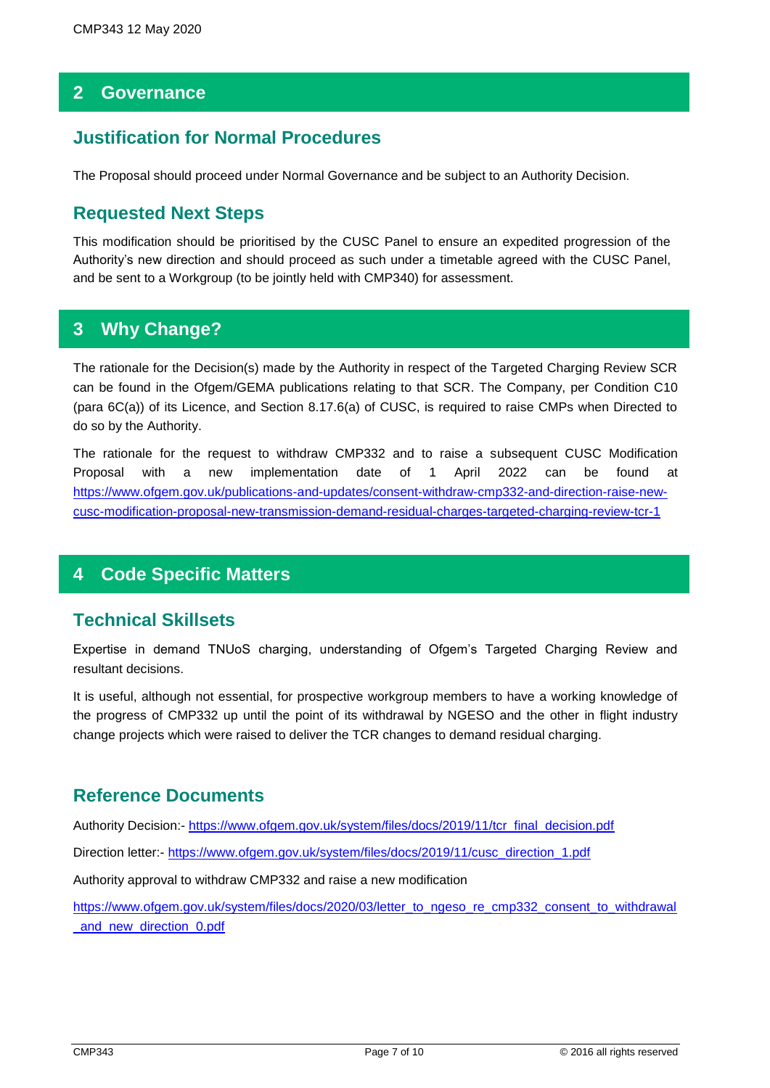## **2 Governance**

## **Justification for Normal Procedures**

The Proposal should proceed under Normal Governance and be subject to an Authority Decision.

## **Requested Next Steps**

This modification should be prioritised by the CUSC Panel to ensure an expedited progression of the Authority's new direction and should proceed as such under a timetable agreed with the CUSC Panel, and be sent to a Workgroup (to be jointly held with CMP340) for assessment.

## **3 Why Change?**

The rationale for the Decision(s) made by the Authority in respect of the Targeted Charging Review SCR can be found in the Ofgem/GEMA publications relating to that SCR. The Company, per Condition C10 (para 6C(a)) of its Licence, and Section 8.17.6(a) of CUSC, is required to raise CMPs when Directed to do so by the Authority.

The rationale for the request to withdraw CMP332 and to raise a subsequent CUSC Modification Proposal with a new implementation date of 1 April 2022 can be found at [https://www.ofgem.gov.uk/publications-and-updates/consent-withdraw-cmp332-and-direction-raise-new](https://www.ofgem.gov.uk/publications-and-updates/consent-withdraw-cmp332-and-direction-raise-new-cusc-modification-proposal-new-transmission-demand-residual-charges-targeted-charging-review-tcr-1)[cusc-modification-proposal-new-transmission-demand-residual-charges-targeted-charging-review-tcr-1](https://www.ofgem.gov.uk/publications-and-updates/consent-withdraw-cmp332-and-direction-raise-new-cusc-modification-proposal-new-transmission-demand-residual-charges-targeted-charging-review-tcr-1)

## **4 Code Specific Matters**

## **Technical Skillsets**

Expertise in demand TNUoS charging, understanding of Ofgem's Targeted Charging Review and resultant decisions.

It is useful, although not essential, for prospective workgroup members to have a working knowledge of the progress of CMP332 up until the point of its withdrawal by NGESO and the other in flight industry change projects which were raised to deliver the TCR changes to demand residual charging.

## **Reference Documents**

Authority Decision:- [https://www.ofgem.gov.uk/system/files/docs/2019/11/tcr\\_final\\_decision.pdf](https://www.ofgem.gov.uk/system/files/docs/2019/11/tcr_final_decision.pdf)

Direction letter:- [https://www.ofgem.gov.uk/system/files/docs/2019/11/cusc\\_direction\\_1.pdf](https://www.ofgem.gov.uk/system/files/docs/2019/11/cusc_direction_1.pdf)

Authority approval to withdraw CMP332 and raise a new modification

[https://www.ofgem.gov.uk/system/files/docs/2020/03/letter\\_to\\_ngeso\\_re\\_cmp332\\_consent\\_to\\_withdrawal](https://www.ofgem.gov.uk/system/files/docs/2020/03/letter_to_ngeso_re_cmp332_consent_to_withdrawal_and_new_direction_0.pdf) [\\_and\\_new\\_direction\\_0.pdf](https://www.ofgem.gov.uk/system/files/docs/2020/03/letter_to_ngeso_re_cmp332_consent_to_withdrawal_and_new_direction_0.pdf)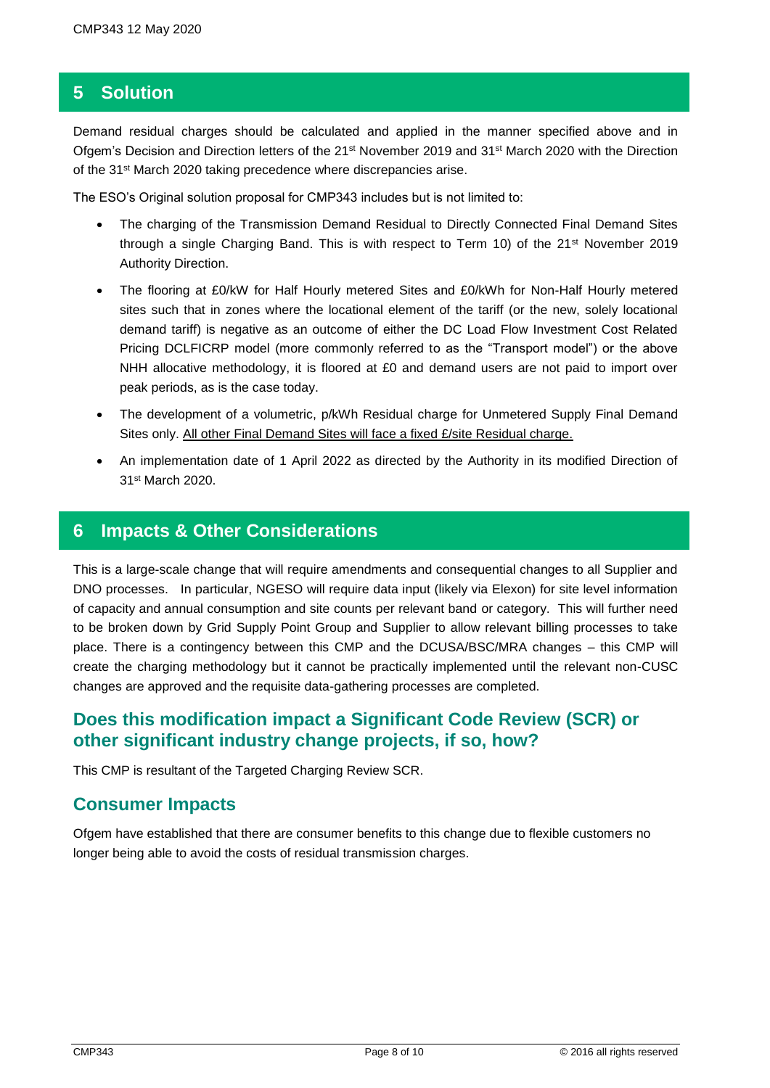#### **5 Solution**

Demand residual charges should be calculated and applied in the manner specified above and in Ofgem's Decision and Direction letters of the 21st November 2019 and 31st March 2020 with the Direction of the 31st March 2020 taking precedence where discrepancies arise.

The ESO's Original solution proposal for CMP343 includes but is not limited to:

- The charging of the Transmission Demand Residual to Directly Connected Final Demand Sites through a single Charging Band. This is with respect to Term 10) of the  $21^{st}$  November 2019 Authority Direction.
- The flooring at £0/kW for Half Hourly metered Sites and £0/kWh for Non-Half Hourly metered sites such that in zones where the locational element of the tariff (or the new, solely locational demand tariff) is negative as an outcome of either the DC Load Flow Investment Cost Related Pricing DCLFICRP model (more commonly referred to as the "Transport model") or the above NHH allocative methodology, it is floored at £0 and demand users are not paid to import over peak periods, as is the case today.
- The development of a volumetric, p/kWh Residual charge for Unmetered Supply Final Demand Sites only. All other Final Demand Sites will face a fixed £/site Residual charge.
- An implementation date of 1 April 2022 as directed by the Authority in its modified Direction of 31st March 2020.

#### **6 Impacts & Other Considerations**

This is a large-scale change that will require amendments and consequential changes to all Supplier and DNO processes. In particular, NGESO will require data input (likely via Elexon) for site level information of capacity and annual consumption and site counts per relevant band or category. This will further need to be broken down by Grid Supply Point Group and Supplier to allow relevant billing processes to take place. There is a contingency between this CMP and the DCUSA/BSC/MRA changes – this CMP will create the charging methodology but it cannot be practically implemented until the relevant non-CUSC changes are approved and the requisite data-gathering processes are completed.

## **Does this modification impact a Significant Code Review (SCR) or other significant industry change projects, if so, how?**

This CMP is resultant of the Targeted Charging Review SCR.

#### **Consumer Impacts**

Ofgem have established that there are consumer benefits to this change due to flexible customers no longer being able to avoid the costs of residual transmission charges.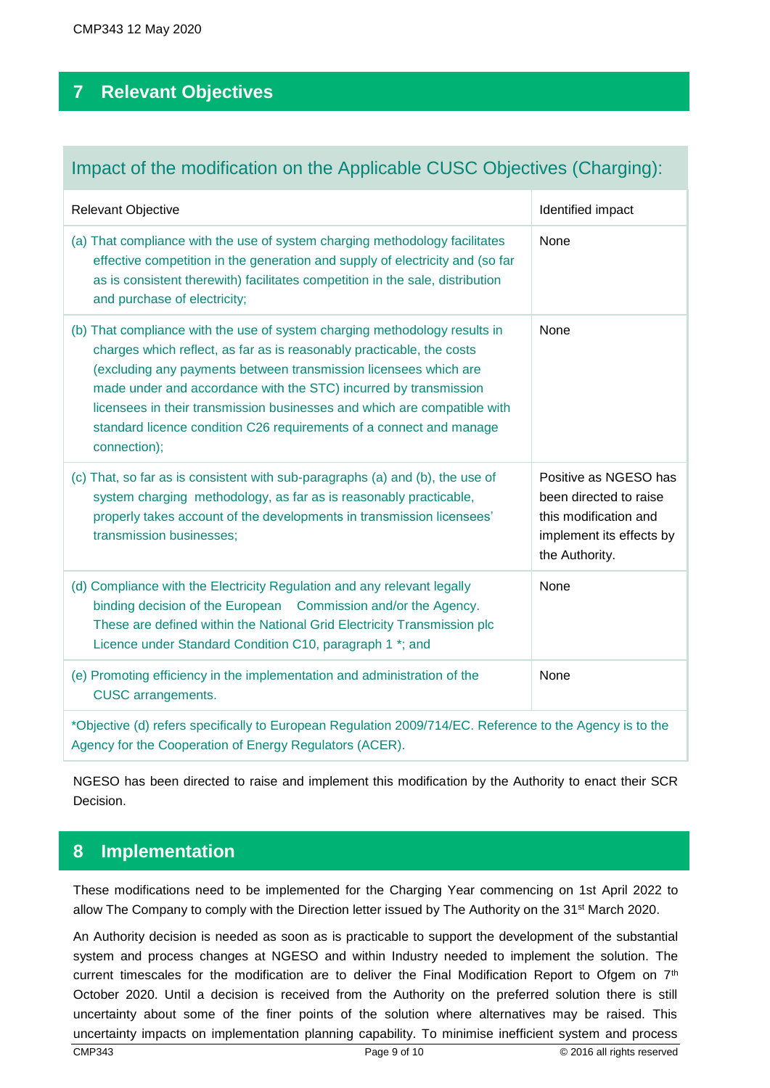## **7 Relevant Objectives**

## Impact of the modification on the Applicable CUSC Objectives (Charging):

| Relevant Objective                                                                                                                                                                                                                                                                                                                                                                                                                                             | Identified impact                                                                                                      |  |
|----------------------------------------------------------------------------------------------------------------------------------------------------------------------------------------------------------------------------------------------------------------------------------------------------------------------------------------------------------------------------------------------------------------------------------------------------------------|------------------------------------------------------------------------------------------------------------------------|--|
| (a) That compliance with the use of system charging methodology facilitates<br>effective competition in the generation and supply of electricity and (so far<br>as is consistent therewith) facilitates competition in the sale, distribution<br>and purchase of electricity;                                                                                                                                                                                  | None                                                                                                                   |  |
| (b) That compliance with the use of system charging methodology results in<br>charges which reflect, as far as is reasonably practicable, the costs<br>(excluding any payments between transmission licensees which are<br>made under and accordance with the STC) incurred by transmission<br>licensees in their transmission businesses and which are compatible with<br>standard licence condition C26 requirements of a connect and manage<br>connection); | None                                                                                                                   |  |
| (c) That, so far as is consistent with sub-paragraphs (a) and (b), the use of<br>system charging methodology, as far as is reasonably practicable,<br>properly takes account of the developments in transmission licensees'<br>transmission businesses;                                                                                                                                                                                                        | Positive as NGESO has<br>been directed to raise<br>this modification and<br>implement its effects by<br>the Authority. |  |
| (d) Compliance with the Electricity Regulation and any relevant legally<br>binding decision of the European Commission and/or the Agency.<br>These are defined within the National Grid Electricity Transmission plc<br>Licence under Standard Condition C10, paragraph 1 *; and                                                                                                                                                                               | None                                                                                                                   |  |
| (e) Promoting efficiency in the implementation and administration of the<br><b>CUSC</b> arrangements.                                                                                                                                                                                                                                                                                                                                                          | None                                                                                                                   |  |
| *Objective (d) refers specifically to European Regulation 2009/714/EC. Reference to the Agency is to the<br>Agency for the Cooperation of Energy Regulators (ACER).                                                                                                                                                                                                                                                                                            |                                                                                                                        |  |

NGESO has been directed to raise and implement this modification by the Authority to enact their SCR Decision.

## **8 Implementation**

These modifications need to be implemented for the Charging Year commencing on 1st April 2022 to allow The Company to comply with the Direction letter issued by The Authority on the 31<sup>st</sup> March 2020.

An Authority decision is needed as soon as is practicable to support the development of the substantial system and process changes at NGESO and within Industry needed to implement the solution. The current timescales for the modification are to deliver the Final Modification Report to Ofgem on  $7<sup>th</sup>$ October 2020. Until a decision is received from the Authority on the preferred solution there is still uncertainty about some of the finer points of the solution where alternatives may be raised. This uncertainty impacts on implementation planning capability. To minimise inefficient system and process